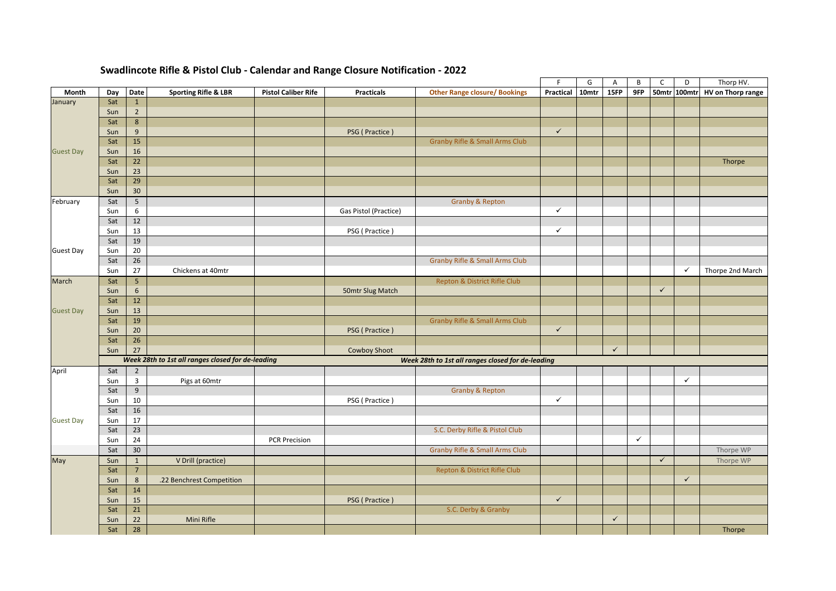|                  |     |                  |                                                   |                            |                                                   |                                           | F.           | G     | Α            | В            | C            | D            | Thorp HV.                |
|------------------|-----|------------------|---------------------------------------------------|----------------------------|---------------------------------------------------|-------------------------------------------|--------------|-------|--------------|--------------|--------------|--------------|--------------------------|
| Month            | Day | Date             | <b>Sporting Rifle &amp; LBR</b>                   | <b>Pistol Caliber Rife</b> | <b>Practicals</b>                                 | <b>Other Range closure/ Bookings</b>      | Practical    | 10mtr | 15FP         | 9FP          |              | 50mtr 100mtr | <b>HV</b> on Thorp range |
| January          | Sat | $\mathbf 1$      |                                                   |                            |                                                   |                                           |              |       |              |              |              |              |                          |
|                  | Sun | $\overline{2}$   |                                                   |                            |                                                   |                                           |              |       |              |              |              |              |                          |
|                  | Sat | $\boldsymbol{8}$ |                                                   |                            |                                                   |                                           |              |       |              |              |              |              |                          |
|                  | Sun | $9\,$            |                                                   |                            | PSG (Practice)                                    |                                           | $\checkmark$ |       |              |              |              |              |                          |
|                  | Sat | 15               |                                                   |                            |                                                   | <b>Granby Rifle &amp; Small Arms Club</b> |              |       |              |              |              |              |                          |
| <b>Guest Day</b> | Sun | 16               |                                                   |                            |                                                   |                                           |              |       |              |              |              |              |                          |
|                  | Sat | 22               |                                                   |                            |                                                   |                                           |              |       |              |              |              |              | Thorpe                   |
|                  | Sun | 23               |                                                   |                            |                                                   |                                           |              |       |              |              |              |              |                          |
|                  | Sat | 29               |                                                   |                            |                                                   |                                           |              |       |              |              |              |              |                          |
|                  | Sun | 30 <sup>°</sup>  |                                                   |                            |                                                   |                                           |              |       |              |              |              |              |                          |
| February         | Sat | 5                |                                                   |                            |                                                   | <b>Granby &amp; Repton</b>                |              |       |              |              |              |              |                          |
|                  | Sun | 6                |                                                   |                            | Gas Pistol (Practice)                             |                                           | ✓            |       |              |              |              |              |                          |
|                  | Sat | 12               |                                                   |                            |                                                   |                                           |              |       |              |              |              |              |                          |
|                  | Sun | 13               |                                                   |                            | PSG (Practice)                                    |                                           | ✓            |       |              |              |              |              |                          |
|                  | Sat | 19               |                                                   |                            |                                                   |                                           |              |       |              |              |              |              |                          |
| <b>Guest Day</b> | Sun | 20               |                                                   |                            |                                                   |                                           |              |       |              |              |              |              |                          |
|                  | Sat | 26               |                                                   |                            |                                                   | <b>Granby Rifle &amp; Small Arms Club</b> |              |       |              |              |              |              |                          |
|                  | Sun | 27               | Chickens at 40mtr                                 |                            |                                                   |                                           |              |       |              |              |              | $\checkmark$ | Thorpe 2nd March         |
| March            | Sat | 5                |                                                   |                            |                                                   | Repton & District Rifle Club              |              |       |              |              |              |              |                          |
|                  | Sun | 6                |                                                   |                            | 50mtr Slug Match                                  |                                           |              |       |              |              | $\checkmark$ |              |                          |
|                  | Sat | 12               |                                                   |                            |                                                   |                                           |              |       |              |              |              |              |                          |
| <b>Guest Day</b> | Sun | 13               |                                                   |                            |                                                   |                                           |              |       |              |              |              |              |                          |
|                  | Sat | 19               |                                                   |                            |                                                   | <b>Granby Rifle &amp; Small Arms Club</b> |              |       |              |              |              |              |                          |
|                  | Sun | 20               |                                                   |                            | PSG (Practice)                                    |                                           | $\checkmark$ |       |              |              |              |              |                          |
|                  | Sat | 26               |                                                   |                            |                                                   |                                           |              |       |              |              |              |              |                          |
|                  | Sun | 27               |                                                   |                            | <b>Cowboy Shoot</b>                               |                                           |              |       | $\checkmark$ |              |              |              |                          |
|                  |     |                  | Week 28th to 1st all ranges closed for de-leading |                            | Week 28th to 1st all ranges closed for de-leading |                                           |              |       |              |              |              |              |                          |
| April            | Sat | $\overline{2}$   |                                                   |                            |                                                   |                                           |              |       |              |              |              |              |                          |
|                  | Sun | $\overline{3}$   | Pigs at 60mtr                                     |                            |                                                   |                                           |              |       |              |              |              | $\checkmark$ |                          |
|                  | Sat | $\boldsymbol{9}$ |                                                   |                            |                                                   | <b>Granby &amp; Repton</b>                |              |       |              |              |              |              |                          |
|                  | Sun | 10               |                                                   |                            | PSG (Practice)                                    |                                           | ✓            |       |              |              |              |              |                          |
|                  | Sat | 16               |                                                   |                            |                                                   |                                           |              |       |              |              |              |              |                          |
| <b>Guest Day</b> | Sun | 17               |                                                   |                            |                                                   |                                           |              |       |              |              |              |              |                          |
|                  | Sat | $\overline{23}$  |                                                   |                            |                                                   | S.C. Derby Rifle & Pistol Club            |              |       |              |              |              |              |                          |
|                  | Sun | 24               |                                                   | <b>PCR Precision</b>       |                                                   |                                           |              |       |              | $\checkmark$ |              |              |                          |
|                  | Sat | 30 <sup>°</sup>  |                                                   |                            |                                                   | <b>Granby Rifle &amp; Small Arms Club</b> |              |       |              |              |              |              | Thorpe WP                |
| May              | Sun | $\mathbf{1}$     | V Drill (practice)                                |                            |                                                   |                                           |              |       |              |              | $\checkmark$ |              | Thorpe WP                |
|                  | Sat | $\overline{7}$   |                                                   |                            |                                                   | Repton & District Rifle Club              |              |       |              |              |              |              |                          |
|                  | Sun | 8                | .22 Benchrest Competition                         |                            |                                                   |                                           |              |       |              |              |              | $\checkmark$ |                          |
|                  | Sat | 14               |                                                   |                            |                                                   |                                           |              |       |              |              |              |              |                          |
|                  | Sun | 15               |                                                   |                            | PSG (Practice)                                    |                                           | $\checkmark$ |       |              |              |              |              |                          |
|                  | Sat | 21               |                                                   |                            |                                                   | S.C. Derby & Granby                       |              |       |              |              |              |              |                          |
|                  | Sun | 22               | Mini Rifle                                        |                            |                                                   |                                           |              |       | $\checkmark$ |              |              |              |                          |
|                  | Sat | 28               |                                                   |                            |                                                   |                                           |              |       |              |              |              |              | Thorpe                   |
|                  |     |                  |                                                   |                            |                                                   |                                           |              |       |              |              |              |              |                          |

## **Swadlincote Rifle & Pistol Club - Calendar and Range Closure Notification - 2022**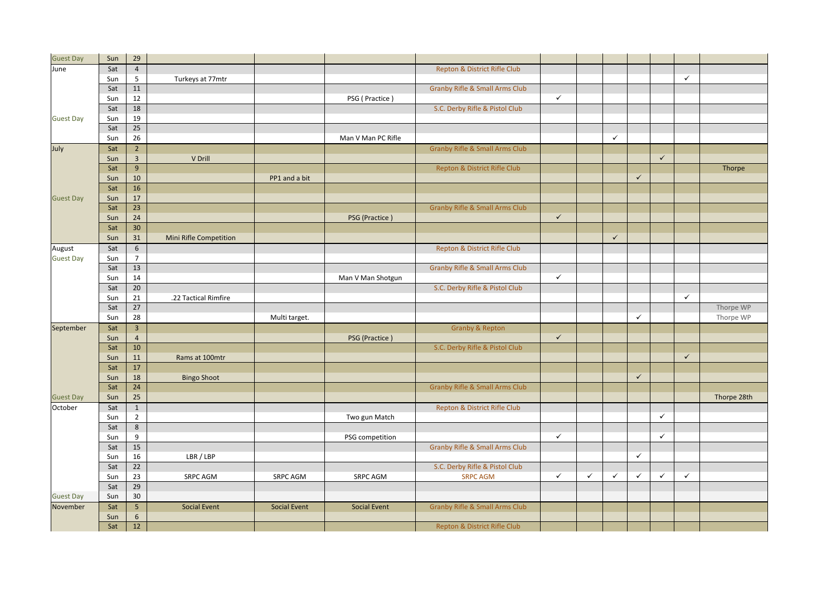| <b>Guest Day</b> | Sun | 29              |                        |                     |                     |                                           |              |              |              |              |              |              |             |
|------------------|-----|-----------------|------------------------|---------------------|---------------------|-------------------------------------------|--------------|--------------|--------------|--------------|--------------|--------------|-------------|
| June             | Sat | $\overline{4}$  |                        |                     |                     | Repton & District Rifle Club              |              |              |              |              |              |              |             |
|                  | Sun | 5               | Turkeys at 77mtr       |                     |                     |                                           |              |              |              |              |              | $\checkmark$ |             |
|                  | Sat | 11              |                        |                     |                     | <b>Granby Rifle &amp; Small Arms Club</b> |              |              |              |              |              |              |             |
|                  | Sun | 12              |                        |                     | PSG (Practice)      |                                           | $\checkmark$ |              |              |              |              |              |             |
|                  | Sat | 18              |                        |                     |                     | S.C. Derby Rifle & Pistol Club            |              |              |              |              |              |              |             |
| <b>Guest Day</b> | Sun | 19              |                        |                     |                     |                                           |              |              |              |              |              |              |             |
|                  | Sat | 25              |                        |                     |                     |                                           |              |              |              |              |              |              |             |
|                  | Sun | 26              |                        |                     | Man V Man PC Rifle  |                                           |              |              | $\checkmark$ |              |              |              |             |
|                  |     |                 |                        |                     |                     |                                           |              |              |              |              |              |              |             |
| July             | Sat | $\overline{2}$  |                        |                     |                     | <b>Granby Rifle &amp; Small Arms Club</b> |              |              |              |              |              |              |             |
|                  | Sun | $\overline{3}$  | V Drill                |                     |                     |                                           |              |              |              |              | $\checkmark$ |              |             |
|                  | Sat | 9               |                        |                     |                     | Repton & District Rifle Club              |              |              |              |              |              |              | Thorpe      |
|                  | Sun | 10              |                        | PP1 and a bit       |                     |                                           |              |              |              | $\checkmark$ |              |              |             |
|                  | Sat | 16              |                        |                     |                     |                                           |              |              |              |              |              |              |             |
| <b>Guest Day</b> | Sun | 17              |                        |                     |                     |                                           |              |              |              |              |              |              |             |
|                  | Sat | 23              |                        |                     |                     | <b>Granby Rifle &amp; Small Arms Club</b> |              |              |              |              |              |              |             |
|                  | Sun | 24              |                        |                     | PSG (Practice)      |                                           | $\checkmark$ |              |              |              |              |              |             |
|                  | Sat | 30              |                        |                     |                     |                                           |              |              |              |              |              |              |             |
|                  | Sun | 31              | Mini Rifle Competition |                     |                     |                                           |              |              | $\checkmark$ |              |              |              |             |
| August           | Sat | 6               |                        |                     |                     | Repton & District Rifle Club              |              |              |              |              |              |              |             |
| <b>Guest Day</b> | Sun | $\overline{7}$  |                        |                     |                     |                                           |              |              |              |              |              |              |             |
|                  | Sat | 13              |                        |                     |                     | <b>Granby Rifle &amp; Small Arms Club</b> |              |              |              |              |              |              |             |
|                  | Sun | 14              |                        |                     | Man V Man Shotgun   |                                           | $\checkmark$ |              |              |              |              |              |             |
|                  | Sat | 20              |                        |                     |                     | S.C. Derby Rifle & Pistol Club            |              |              |              |              |              |              |             |
|                  | Sun | 21              | .22 Tactical Rimfire   |                     |                     |                                           |              |              |              |              |              | $\checkmark$ |             |
|                  | Sat | 27              |                        |                     |                     |                                           |              |              |              |              |              |              | Thorpe WP   |
|                  | Sun | 28              |                        | Multi target.       |                     |                                           |              |              |              | $\checkmark$ |              |              | Thorpe WP   |
| September        | Sat | $\overline{3}$  |                        |                     |                     | <b>Granby &amp; Repton</b>                |              |              |              |              |              |              |             |
|                  | Sun | $\overline{4}$  |                        |                     | PSG (Practice)      |                                           | $\checkmark$ |              |              |              |              |              |             |
|                  | Sat | 10              |                        |                     |                     | S.C. Derby Rifle & Pistol Club            |              |              |              |              |              |              |             |
|                  | Sun | 11              | Rams at 100mtr         |                     |                     |                                           |              |              |              |              |              | $\checkmark$ |             |
|                  | Sat | 17              |                        |                     |                     |                                           |              |              |              |              |              |              |             |
|                  | Sun | 18              | <b>Bingo Shoot</b>     |                     |                     |                                           |              |              |              | $\checkmark$ |              |              |             |
|                  | Sat | 24              |                        |                     |                     | <b>Granby Rifle &amp; Small Arms Club</b> |              |              |              |              |              |              |             |
| <b>Guest Day</b> | Sun | 25              |                        |                     |                     |                                           |              |              |              |              |              |              | Thorpe 28th |
| October          | Sat | $\mathbf 1$     |                        |                     |                     | Repton & District Rifle Club              |              |              |              |              |              |              |             |
|                  | Sun | $\overline{2}$  |                        |                     | Two gun Match       |                                           |              |              |              |              | $\checkmark$ |              |             |
|                  | Sat | $\,8\,$         |                        |                     |                     |                                           |              |              |              |              |              |              |             |
|                  |     |                 |                        |                     |                     |                                           | $\checkmark$ |              |              |              | $\checkmark$ |              |             |
|                  | Sun | 9               |                        |                     | PSG competition     |                                           |              |              |              |              |              |              |             |
|                  | Sat | 15              |                        |                     |                     | <b>Granby Rifle &amp; Small Arms Club</b> |              |              |              |              |              |              |             |
|                  | Sun | 16              | LBR / LBP              |                     |                     |                                           |              |              |              | $\checkmark$ |              |              |             |
|                  | Sat | $\overline{22}$ |                        |                     |                     | S.C. Derby Rifle & Pistol Club            |              |              |              |              |              |              |             |
|                  | Sun | 23              | <b>SRPC AGM</b>        | SRPC AGM            | <b>SRPC AGM</b>     | <b>SRPC AGM</b>                           | $\checkmark$ | $\checkmark$ | $\checkmark$ | $\checkmark$ | $\checkmark$ | $\checkmark$ |             |
|                  | Sat | 29              |                        |                     |                     |                                           |              |              |              |              |              |              |             |
| <b>Guest Day</b> | Sun | 30              |                        |                     |                     |                                           |              |              |              |              |              |              |             |
| November         | Sat | 5               | <b>Social Event</b>    | <b>Social Event</b> | <b>Social Event</b> | <b>Granby Rifle &amp; Small Arms Club</b> |              |              |              |              |              |              |             |
|                  | Sun | 6               |                        |                     |                     |                                           |              |              |              |              |              |              |             |
|                  | Sat | 12              |                        |                     |                     | Repton & District Rifle Club              |              |              |              |              |              |              |             |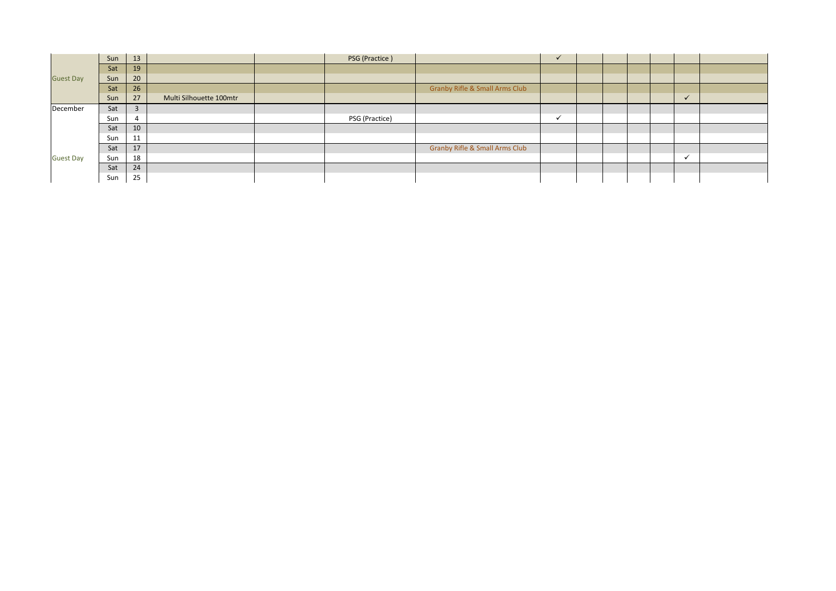|                  | Sun | 13             |                         | PSG (Practice) |                                           | $\checkmark$ |  |  |              |  |
|------------------|-----|----------------|-------------------------|----------------|-------------------------------------------|--------------|--|--|--------------|--|
| <b>Guest Day</b> | Sat | 19             |                         |                |                                           |              |  |  |              |  |
|                  | Sun | 20             |                         |                |                                           |              |  |  |              |  |
|                  | Sat | 26             |                         |                | <b>Granby Rifle &amp; Small Arms Club</b> |              |  |  |              |  |
|                  | Sun | 27             | Multi Silhouette 100mtr |                |                                           |              |  |  | $\checkmark$ |  |
| December         | Sat | $\overline{3}$ |                         |                |                                           |              |  |  |              |  |
|                  | Sun |                |                         | PSG (Practice) |                                           | $\checkmark$ |  |  |              |  |
|                  | Sat | 10             |                         |                |                                           |              |  |  |              |  |
|                  | Sun | 11             |                         |                |                                           |              |  |  |              |  |
| <b>Guest Day</b> | Sat | 17             |                         |                | <b>Granby Rifle &amp; Small Arms Club</b> |              |  |  |              |  |
|                  | Sun | 18             |                         |                |                                           |              |  |  | v            |  |
|                  | Sat | 24             |                         |                |                                           |              |  |  |              |  |
|                  | Sun | 25             |                         |                |                                           |              |  |  |              |  |